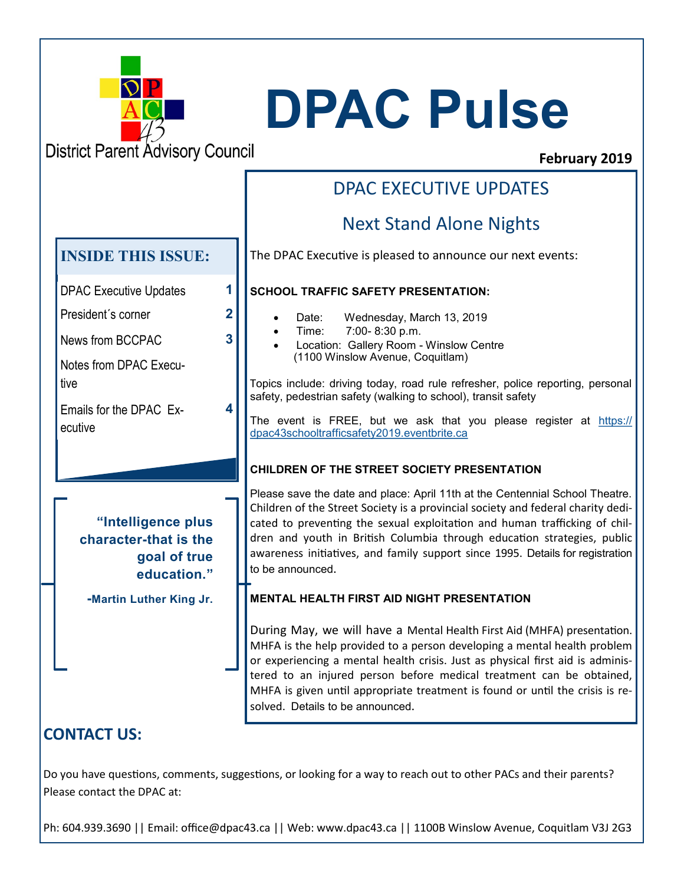

# **DPAC Pulse**

**District Parent Advisory Council** 

## **February 2019**

#### **CONTACT US: "Intelligence plus character-that is the goal of true education." -Martin Luther King Jr.**  DPAC Executive Updates **1** President´s corner **2** News from BCCPAC Notes from DPAC Executive **3** Emails for the DPAC Executive **4 INSIDE THIS ISSUE:** DPAC EXECUTIVE UPDATES Next Stand Alone Nights The DPAC Executive is pleased to announce our next events: **SCHOOL TRAFFIC SAFETY PRESENTATION:** Date: Wednesday, March 13, 2019 • Time: 7:00- 8:30 p.m. • Location: Gallery Room - Winslow Centre (1100 Winslow Avenue, Coquitlam) Topics include: driving today, road rule refresher, police reporting, personal safety, pedestrian safety (walking to school), transit safety The event is FREE, but we ask that you please register at [https://](https://dpac43schooltrafficsafety2019.eventbrite.ca) [dpac43schooltrafficsafety2019.eventbrite.ca](https://dpac43schooltrafficsafety2019.eventbrite.ca) **CHILDREN OF THE STREET SOCIETY PRESENTATION** Please save the date and place: April 11th at the Centennial School Theatre. Children of the Street Society is a provincial society and federal charity dedicated to preventing the sexual exploitation and human trafficking of children and youth in British Columbia through education strategies, public awareness initiatives, and family support since 1995. Details for registration to be announced. **MENTAL HEALTH FIRST AID NIGHT PRESENTATION** During May, we will have a Mental Health First Aid (MHFA) presentation. MHFA is the help provided to a person developing a mental health problem or experiencing a mental health crisis. Just as physical first aid is administered to an injured person before medical treatment can be obtained, MHFA is given until appropriate treatment is found or until the crisis is resolved. Details to be announced.

Do you have questions, comments, suggestions, or looking for a way to reach out to other PACs and their parents? Please contact the DPAC at:

Ph: 604.939.3690 || Email: office@dpac43.ca || Web: www.dpac43.ca || 1100B Winslow Avenue, Coquitlam V3J 2G3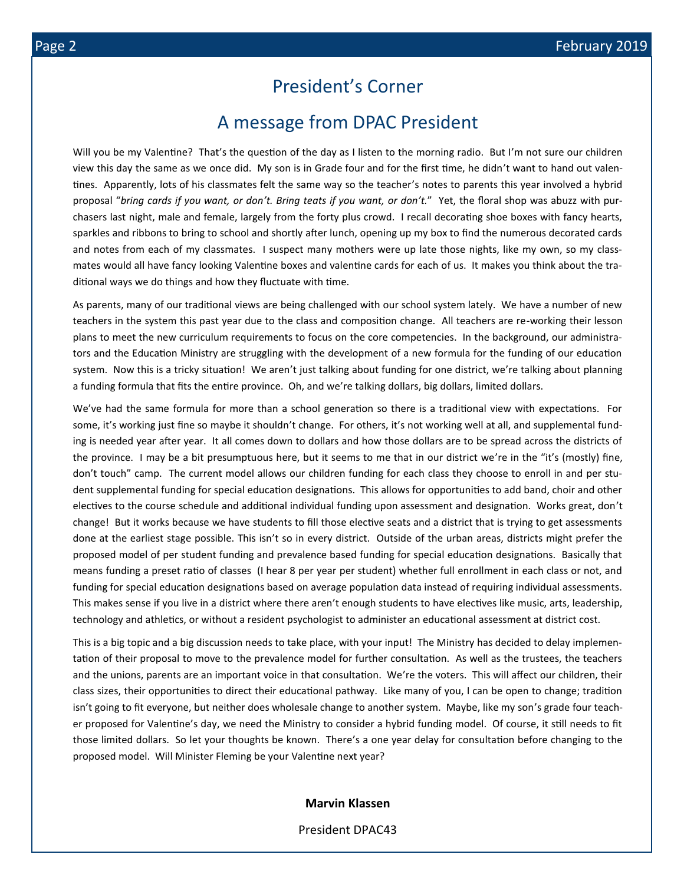## President's Corner

## A message from DPAC President

Will you be my Valentine? That's the question of the day as I listen to the morning radio. But I'm not sure our children view this day the same as we once did. My son is in Grade four and for the first time, he didn't want to hand out valentines. Apparently, lots of his classmates felt the same way so the teacher's notes to parents this year involved a hybrid proposal "*bring cards if you want, or don't. Bring teats if you want, or don't.*" Yet, the floral shop was abuzz with purchasers last night, male and female, largely from the forty plus crowd. I recall decorating shoe boxes with fancy hearts, sparkles and ribbons to bring to school and shortly after lunch, opening up my box to find the numerous decorated cards and notes from each of my classmates. I suspect many mothers were up late those nights, like my own, so my classmates would all have fancy looking Valentine boxes and valentine cards for each of us. It makes you think about the traditional ways we do things and how they fluctuate with time.

As parents, many of our traditional views are being challenged with our school system lately. We have a number of new teachers in the system this past year due to the class and composition change. All teachers are re-working their lesson plans to meet the new curriculum requirements to focus on the core competencies. In the background, our administrators and the Education Ministry are struggling with the development of a new formula for the funding of our education system. Now this is a tricky situation! We aren't just talking about funding for one district, we're talking about planning a funding formula that fits the entire province. Oh, and we're talking dollars, big dollars, limited dollars.

We've had the same formula for more than a school generation so there is a traditional view with expectations. For some, it's working just fine so maybe it shouldn't change. For others, it's not working well at all, and supplemental funding is needed year after year. It all comes down to dollars and how those dollars are to be spread across the districts of the province. I may be a bit presumptuous here, but it seems to me that in our district we're in the "it's (mostly) fine, don't touch" camp. The current model allows our children funding for each class they choose to enroll in and per student supplemental funding for special education designations. This allows for opportunities to add band, choir and other electives to the course schedule and additional individual funding upon assessment and designation. Works great, don't change! But it works because we have students to fill those elective seats and a district that is trying to get assessments done at the earliest stage possible. This isn't so in every district. Outside of the urban areas, districts might prefer the proposed model of per student funding and prevalence based funding for special education designations. Basically that means funding a preset ratio of classes (I hear 8 per year per student) whether full enrollment in each class or not, and funding for special education designations based on average population data instead of requiring individual assessments. This makes sense if you live in a district where there aren't enough students to have electives like music, arts, leadership, technology and athletics, or without a resident psychologist to administer an educational assessment at district cost.

This is a big topic and a big discussion needs to take place, with your input! The Ministry has decided to delay implementation of their proposal to move to the prevalence model for further consultation. As well as the trustees, the teachers and the unions, parents are an important voice in that consultation. We're the voters. This will affect our children, their class sizes, their opportunities to direct their educational pathway. Like many of you, I can be open to change; tradition isn't going to fit everyone, but neither does wholesale change to another system. Maybe, like my son's grade four teacher proposed for Valentine's day, we need the Ministry to consider a hybrid funding model. Of course, it still needs to fit those limited dollars. So let your thoughts be known. There's a one year delay for consultation before changing to the proposed model. Will Minister Fleming be your Valentine next year?

#### **Marvin Klassen**

President DPAC43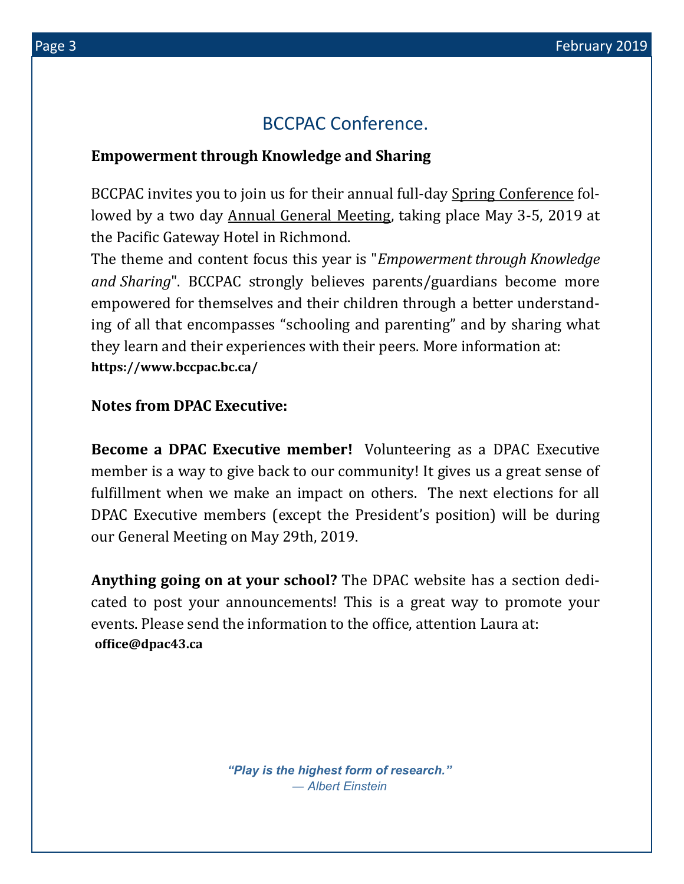# BCCPAC Conference.

## **Empowerment through Knowledge and Sharing**

BCCPAC invites you to join us for their annual full-day [Spring Conference](https://bccpac.us3.list-manage.com/track/click?u=5ce4c360a02f3e3d90abca386&id=7ad88b1405&e=e82cafa1f3) followed by a two day [Annual General Meeting,](https://bccpac.us3.list-manage.com/track/click?u=5ce4c360a02f3e3d90abca386&id=51799c89eb&e=e82cafa1f3) taking place May 3-5, 2019 at the [Pacific Gateway Hotel](https://bccpac.us3.list-manage.com/track/click?u=5ce4c360a02f3e3d90abca386&id=956a605e91&e=e82cafa1f3) in Richmond.

The [theme and content f](https://bccpac.us3.list-manage.com/track/click?u=5ce4c360a02f3e3d90abca386&id=2348f31ae2&e=e82cafa1f3)ocus this year is "*Empowerment through Knowledge and Sharing*". BCCPAC strongly believes parents/guardians become more empowered for themselves and their children through a better understanding of all that encompasses "schooling and parenting" and by sharing what they learn and their experiences with their peers. More information at: **https://www.bccpac.bc.ca/**

## **Notes from DPAC Executive:**

**Become a DPAC Executive member!** Volunteering as a DPAC Executive member is a way to give back to our community! It gives us a great sense of fulfillment when we make an impact on others. The next elections for all DPAC Executive members (except the President's position) will be during our General Meeting on May 29th, 2019.

**Anything going on at your school?** The DPAC website has a section dedicated to post your announcements! This is a great way to promote your events. Please send the information to the office, attention Laura at: **office@dpac43.ca**

> *"Play is the highest form of research." ― Albert Einstein*